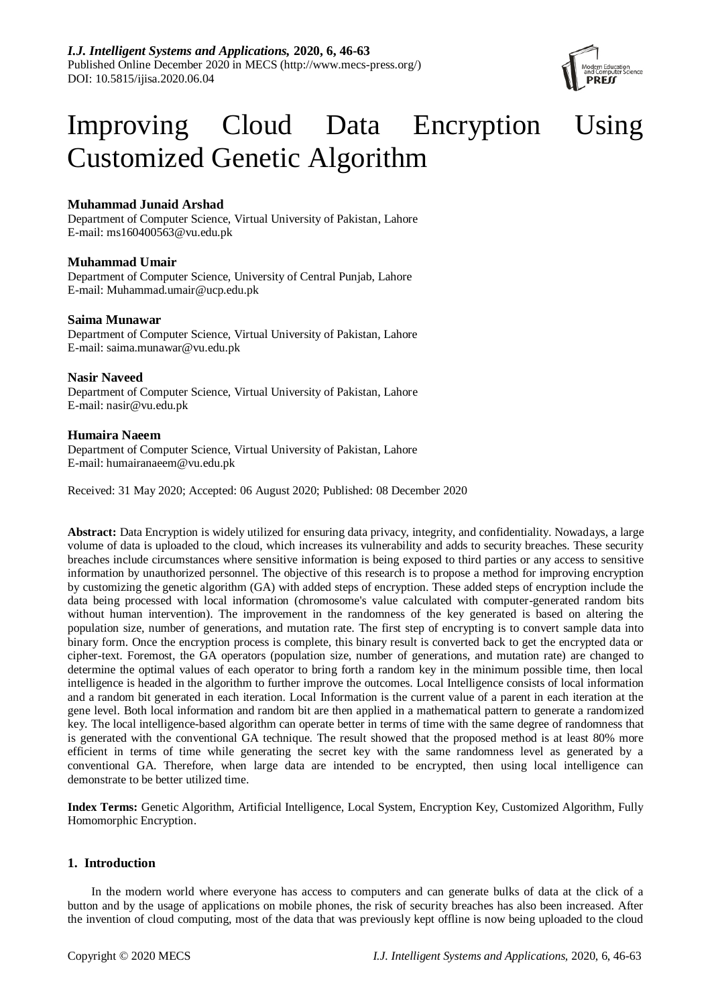

# Improving Cloud Data Encryption Using Customized Genetic Algorithm

# **Muhammad Junaid Arshad**

Department of Computer Science, Virtual University of Pakistan, Lahore E-mail: ms160400563@vu.edu.pk

# **Muhammad Umair**

Department of Computer Science, University of Central Punjab, Lahore E-mail: Muhammad.umair@ucp.edu.pk

# **Saima Munawar**

Department of Computer Science, Virtual University of Pakistan, Lahore E-mail: saima.munawar@vu.edu.pk

# **Nasir Naveed**

Department of Computer Science, Virtual University of Pakistan, Lahore E-mail: nasir@vu.edu.pk

# **Humaira Naeem**

Department of Computer Science, Virtual University of Pakistan, Lahore E-mail: humairanaeem@vu.edu.pk

Received: 31 May 2020; Accepted: 06 August 2020; Published: 08 December 2020

**Abstract:** Data Encryption is widely utilized for ensuring data privacy, integrity, and confidentiality. Nowadays, a large volume of data is uploaded to the cloud, which increases its vulnerability and adds to security breaches. These security breaches include circumstances where sensitive information is being exposed to third parties or any access to sensitive information by unauthorized personnel. The objective of this research is to propose a method for improving encryption by customizing the genetic algorithm (GA) with added steps of encryption. These added steps of encryption include the data being processed with local information (chromosome's value calculated with computer-generated random bits without human intervention). The improvement in the randomness of the key generated is based on altering the population size, number of generations, and mutation rate. The first step of encrypting is to convert sample data into binary form. Once the encryption process is complete, this binary result is converted back to get the encrypted data or cipher-text. Foremost, the GA operators (population size, number of generations, and mutation rate) are changed to determine the optimal values of each operator to bring forth a random key in the minimum possible time, then local intelligence is headed in the algorithm to further improve the outcomes. Local Intelligence consists of local information and a random bit generated in each iteration. Local Information is the current value of a parent in each iteration at the gene level. Both local information and random bit are then applied in a mathematical pattern to generate a randomized key. The local intelligence-based algorithm can operate better in terms of time with the same degree of randomness that is generated with the conventional GA technique. The result showed that the proposed method is at least 80% more efficient in terms of time while generating the secret key with the same randomness level as generated by a conventional GA. Therefore, when large data are intended to be encrypted, then using local intelligence can demonstrate to be better utilized time.

**Index Terms:** Genetic Algorithm, Artificial Intelligence, Local System, Encryption Key, Customized Algorithm, Fully Homomorphic Encryption.

# **1. Introduction**

In the modern world where everyone has access to computers and can generate bulks of data at the click of a button and by the usage of applications on mobile phones, the risk of security breaches has also been increased. After the invention of cloud computing, most of the data that was previously kept offline is now being uploaded to the cloud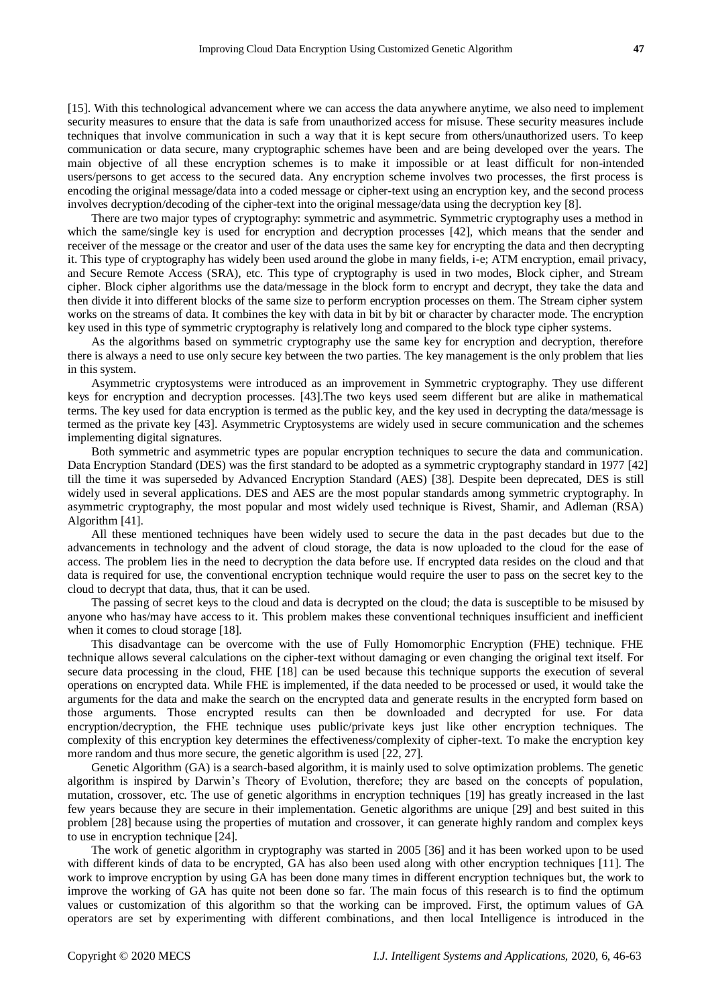[15]. With this technological advancement where we can access the data anywhere anytime, we also need to implement security measures to ensure that the data is safe from unauthorized access for misuse. These security measures include techniques that involve communication in such a way that it is kept secure from others/unauthorized users. To keep communication or data secure, many cryptographic schemes have been and are being developed over the years. The main objective of all these encryption schemes is to make it impossible or at least difficult for non-intended users/persons to get access to the secured data. Any encryption scheme involves two processes, the first process is encoding the original message/data into a coded message or cipher-text using an encryption key, and the second process involves decryption/decoding of the cipher-text into the original message/data using the decryption key [8].

There are two major types of cryptography: symmetric and asymmetric. Symmetric cryptography uses a method in which the same/single key is used for encryption and decryption processes [42], which means that the sender and receiver of the message or the creator and user of the data uses the same key for encrypting the data and then decrypting it. This type of cryptography has widely been used around the globe in many fields, i-e; ATM encryption, email privacy, and Secure Remote Access (SRA), etc. This type of cryptography is used in two modes, Block cipher, and Stream cipher. Block cipher algorithms use the data/message in the block form to encrypt and decrypt, they take the data and then divide it into different blocks of the same size to perform encryption processes on them. The Stream cipher system works on the streams of data. It combines the key with data in bit by bit or character by character mode. The encryption key used in this type of symmetric cryptography is relatively long and compared to the block type cipher systems.

As the algorithms based on symmetric cryptography use the same key for encryption and decryption, therefore there is always a need to use only secure key between the two parties. The key management is the only problem that lies in this system.

Asymmetric cryptosystems were introduced as an improvement in Symmetric cryptography. They use different keys for encryption and decryption processes. [43].The two keys used seem different but are alike in mathematical terms. The key used for data encryption is termed as the public key, and the key used in decrypting the data/message is termed as the private key [43]. Asymmetric Cryptosystems are widely used in secure communication and the schemes implementing digital signatures.

Both symmetric and asymmetric types are popular encryption techniques to secure the data and communication. Data Encryption Standard (DES) was the first standard to be adopted as a symmetric cryptography standard in 1977 [42] till the time it was superseded by Advanced Encryption Standard (AES) [38]. Despite been deprecated, DES is still widely used in several applications. DES and AES are the most popular standards among symmetric cryptography. In asymmetric cryptography, the most popular and most widely used technique is Rivest, Shamir, and Adleman (RSA) Algorithm [41].

All these mentioned techniques have been widely used to secure the data in the past decades but due to the advancements in technology and the advent of cloud storage, the data is now uploaded to the cloud for the ease of access. The problem lies in the need to decryption the data before use. If encrypted data resides on the cloud and that data is required for use, the conventional encryption technique would require the user to pass on the secret key to the cloud to decrypt that data, thus, that it can be used.

The passing of secret keys to the cloud and data is decrypted on the cloud; the data is susceptible to be misused by anyone who has/may have access to it. This problem makes these conventional techniques insufficient and inefficient when it comes to cloud storage [18].

This disadvantage can be overcome with the use of Fully Homomorphic Encryption (FHE) technique. FHE technique allows several calculations on the cipher-text without damaging or even changing the original text itself. For secure data processing in the cloud, FHE [18] can be used because this technique supports the execution of several operations on encrypted data. While FHE is implemented, if the data needed to be processed or used, it would take the arguments for the data and make the search on the encrypted data and generate results in the encrypted form based on those arguments. Those encrypted results can then be downloaded and decrypted for use. For data encryption/decryption, the FHE technique uses public/private keys just like other encryption techniques. The complexity of this encryption key determines the effectiveness/complexity of cipher-text. To make the encryption key more random and thus more secure, the genetic algorithm is used [22, 27].

Genetic Algorithm (GA) is a search-based algorithm, it is mainly used to solve optimization problems. The genetic algorithm is inspired by Darwin's Theory of Evolution, therefore; they are based on the concepts of population, mutation, crossover, etc. The use of genetic algorithms in encryption techniques [19] has greatly increased in the last few years because they are secure in their implementation. Genetic algorithms are unique [29] and best suited in this problem [28] because using the properties of mutation and crossover, it can generate highly random and complex keys to use in encryption technique [24].

The work of genetic algorithm in cryptography was started in 2005 [36] and it has been worked upon to be used with different kinds of data to be encrypted, GA has also been used along with other encryption techniques [11]. The work to improve encryption by using GA has been done many times in different encryption techniques but, the work to improve the working of GA has quite not been done so far. The main focus of this research is to find the optimum values or customization of this algorithm so that the working can be improved. First, the optimum values of GA operators are set by experimenting with different combinations, and then local Intelligence is introduced in the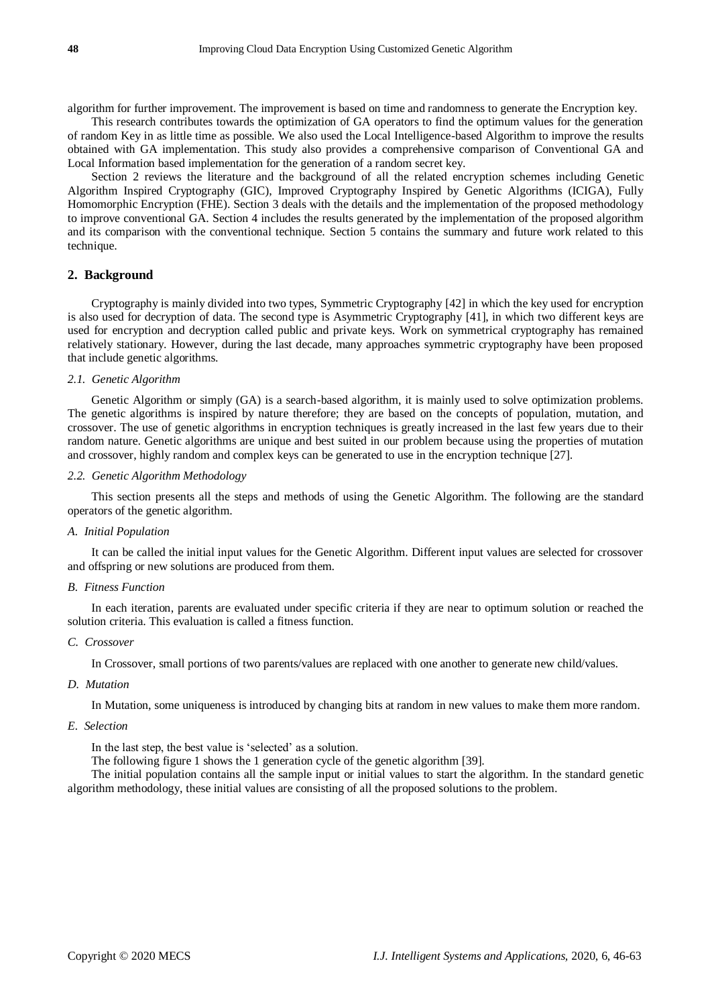algorithm for further improvement. The improvement is based on time and randomness to generate the Encryption key.

This research contributes towards the optimization of GA operators to find the optimum values for the generation of random Key in as little time as possible. We also used the Local Intelligence-based Algorithm to improve the results obtained with GA implementation. This study also provides a comprehensive comparison of Conventional GA and Local Information based implementation for the generation of a random secret key.

Section 2 reviews the literature and the background of all the related encryption schemes including Genetic Algorithm Inspired Cryptography (GIC), Improved Cryptography Inspired by Genetic Algorithms (ICIGA), Fully Homomorphic Encryption (FHE). Section 3 deals with the details and the implementation of the proposed methodology to improve conventional GA. Section 4 includes the results generated by the implementation of the proposed algorithm and its comparison with the conventional technique. Section 5 contains the summary and future work related to this technique.

# **2. Background**

Cryptography is mainly divided into two types, Symmetric Cryptography [42] in which the key used for encryption is also used for decryption of data. The second type is Asymmetric Cryptography [41], in which two different keys are used for encryption and decryption called public and private keys. Work on symmetrical cryptography has remained relatively stationary. However, during the last decade, many approaches symmetric cryptography have been proposed that include genetic algorithms.

## *2.1. Genetic Algorithm*

Genetic Algorithm or simply (GA) is a search-based algorithm, it is mainly used to solve optimization problems. The genetic algorithms is inspired by nature therefore; they are based on the concepts of population, mutation, and crossover. The use of genetic algorithms in encryption techniques is greatly increased in the last few years due to their random nature. Genetic algorithms are unique and best suited in our problem because using the properties of mutation and crossover, highly random and complex keys can be generated to use in the encryption technique [27].

## *2.2. Genetic Algorithm Methodology*

This section presents all the steps and methods of using the Genetic Algorithm. The following are the standard operators of the genetic algorithm.

## *A. Initial Population*

It can be called the initial input values for the Genetic Algorithm. Different input values are selected for crossover and offspring or new solutions are produced from them.

#### *B. Fitness Function*

In each iteration, parents are evaluated under specific criteria if they are near to optimum solution or reached the solution criteria. This evaluation is called a fitness function.

#### *C. Crossover*

In Crossover, small portions of two parents/values are replaced with one another to generate new child/values.

## *D. Mutation*

In Mutation, some uniqueness is introduced by changing bits at random in new values to make them more random.

## *E. Selection*

In the last step, the best value is 'selected' as a solution.

The following figure 1 shows the 1 generation cycle of the genetic algorithm [39].

The initial population contains all the sample input or initial values to start the algorithm. In the standard genetic algorithm methodology, these initial values are consisting of all the proposed solutions to the problem.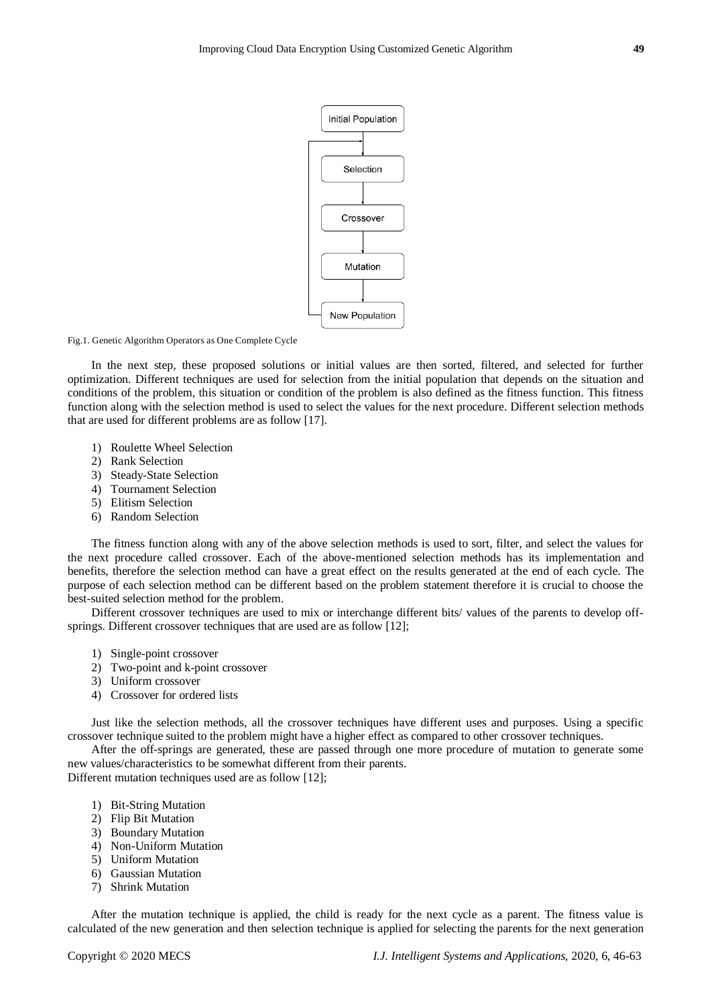

Fig.1. Genetic Algorithm Operators as One Complete Cycle

In the next step, these proposed solutions or initial values are then sorted, filtered, and selected for further optimization. Different techniques are used for selection from the initial population that depends on the situation and conditions of the problem, this situation or condition of the problem is also defined as the fitness function. This fitness function along with the selection method is used to select the values for the next procedure. Different selection methods that are used for different problems are as follow [17].

- 1) Roulette Wheel Selection
- 2) Rank Selection
- 3) Steady-State Selection
- 4) Tournament Selection
- 5) Elitism Selection
- 6) Random Selection

The fitness function along with any of the above selection methods is used to sort, filter, and select the values for the next procedure called crossover. Each of the above-mentioned selection methods has its implementation and benefits, therefore the selection method can have a great effect on the results generated at the end of each cycle. The purpose of each selection method can be different based on the problem statement therefore it is crucial to choose the best-suited selection method for the problem.

Different crossover techniques are used to mix or interchange different bits/ values of the parents to develop offsprings. Different crossover techniques that are used are as follow [12];

- 1) Single-point crossover
- 2) Two-point and k-point crossover
- 3) Uniform crossover
- 4) Crossover for ordered lists

Just like the selection methods, all the crossover techniques have different uses and purposes. Using a specific crossover technique suited to the problem might have a higher effect as compared to other crossover techniques.

After the off-springs are generated, these are passed through one more procedure of mutation to generate some new values/characteristics to be somewhat different from their parents.

Different mutation techniques used are as follow [12];

- 1) Bit-String Mutation
- 2) Flip Bit Mutation
- 3) Boundary Mutation
- 4) Non-Uniform Mutation
- 5) Uniform Mutation
- 6) Gaussian Mutation
- 7) Shrink Mutation

After the mutation technique is applied, the child is ready for the next cycle as a parent. The fitness value is calculated of the new generation and then selection technique is applied for selecting the parents for the next generation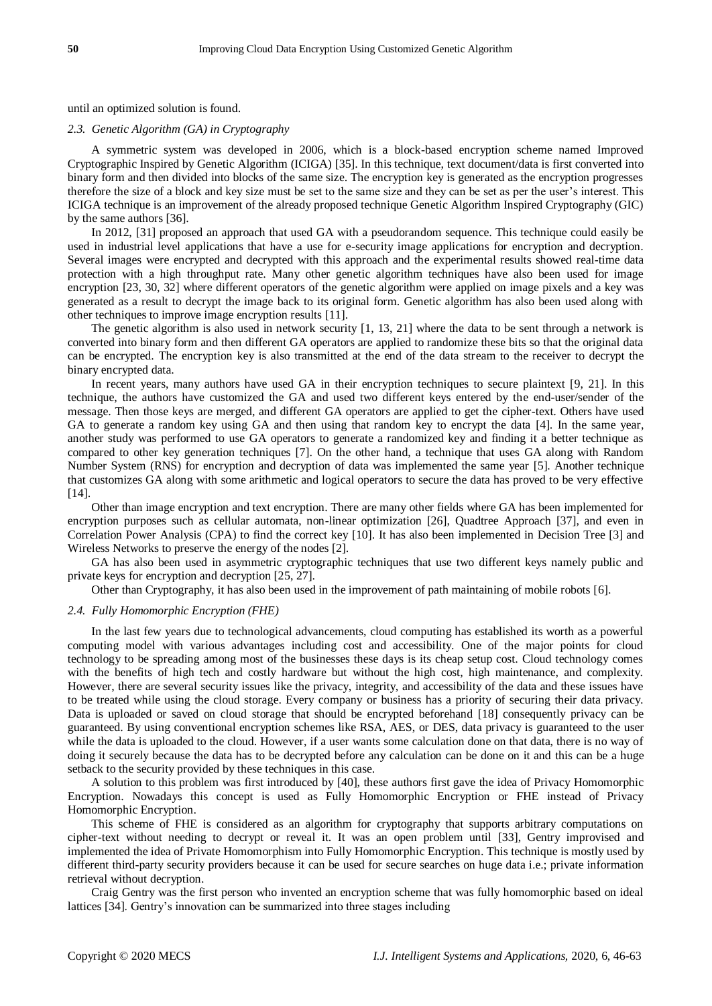until an optimized solution is found.

#### *2.3. Genetic Algorithm (GA) in Cryptography*

A symmetric system was developed in 2006, which is a block-based encryption scheme named Improved Cryptographic Inspired by Genetic Algorithm (ICIGA) [35]. In this technique, text document/data is first converted into binary form and then divided into blocks of the same size. The encryption key is generated as the encryption progresses therefore the size of a block and key size must be set to the same size and they can be set as per the user's interest. This ICIGA technique is an improvement of the already proposed technique Genetic Algorithm Inspired Cryptography (GIC) by the same authors [36].

In 2012, [31] proposed an approach that used GA with a pseudorandom sequence. This technique could easily be used in industrial level applications that have a use for e-security image applications for encryption and decryption. Several images were encrypted and decrypted with this approach and the experimental results showed real-time data protection with a high throughput rate. Many other genetic algorithm techniques have also been used for image encryption [23, 30, 32] where different operators of the genetic algorithm were applied on image pixels and a key was generated as a result to decrypt the image back to its original form. Genetic algorithm has also been used along with other techniques to improve image encryption results [11].

The genetic algorithm is also used in network security [1, 13, 21] where the data to be sent through a network is converted into binary form and then different GA operators are applied to randomize these bits so that the original data can be encrypted. The encryption key is also transmitted at the end of the data stream to the receiver to decrypt the binary encrypted data.

In recent years, many authors have used GA in their encryption techniques to secure plaintext [9, 21]. In this technique, the authors have customized the GA and used two different keys entered by the end-user/sender of the message. Then those keys are merged, and different GA operators are applied to get the cipher-text. Others have used GA to generate a random key using GA and then using that random key to encrypt the data [4]. In the same year, another study was performed to use GA operators to generate a randomized key and finding it a better technique as compared to other key generation techniques [7]. On the other hand, a technique that uses GA along with Random Number System (RNS) for encryption and decryption of data was implemented the same year [5]. Another technique that customizes GA along with some arithmetic and logical operators to secure the data has proved to be very effective [14].

Other than image encryption and text encryption. There are many other fields where GA has been implemented for encryption purposes such as cellular automata, non-linear optimization [26], Quadtree Approach [37], and even in Correlation Power Analysis (CPA) to find the correct key [10]. It has also been implemented in Decision Tree [3] and Wireless Networks to preserve the energy of the nodes [2].

GA has also been used in asymmetric cryptographic techniques that use two different keys namely public and private keys for encryption and decryption [25, 27].

Other than Cryptography, it has also been used in the improvement of path maintaining of mobile robots [6].

## *2.4. Fully Homomorphic Encryption (FHE)*

In the last few years due to technological advancements, cloud computing has established its worth as a powerful computing model with various advantages including cost and accessibility. One of the major points for cloud technology to be spreading among most of the businesses these days is its cheap setup cost. Cloud technology comes with the benefits of high tech and costly hardware but without the high cost, high maintenance, and complexity. However, there are several security issues like the privacy, integrity, and accessibility of the data and these issues have to be treated while using the cloud storage. Every company or business has a priority of securing their data privacy. Data is uploaded or saved on cloud storage that should be encrypted beforehand [18] consequently privacy can be guaranteed. By using conventional encryption schemes like RSA, AES, or DES, data privacy is guaranteed to the user while the data is uploaded to the cloud. However, if a user wants some calculation done on that data, there is no way of doing it securely because the data has to be decrypted before any calculation can be done on it and this can be a huge setback to the security provided by these techniques in this case.

A solution to this problem was first introduced by [40], these authors first gave the idea of Privacy Homomorphic Encryption. Nowadays this concept is used as Fully Homomorphic Encryption or FHE instead of Privacy Homomorphic Encryption.

This scheme of FHE is considered as an algorithm for cryptography that supports arbitrary computations on cipher-text without needing to decrypt or reveal it. It was an open problem until [33], Gentry improvised and implemented the idea of Private Homomorphism into Fully Homomorphic Encryption. This technique is mostly used by different third-party security providers because it can be used for secure searches on huge data i.e.; private information retrieval without decryption.

Craig Gentry was the first person who invented an encryption scheme that was fully homomorphic based on ideal lattices [34]. Gentry's innovation can be summarized into three stages including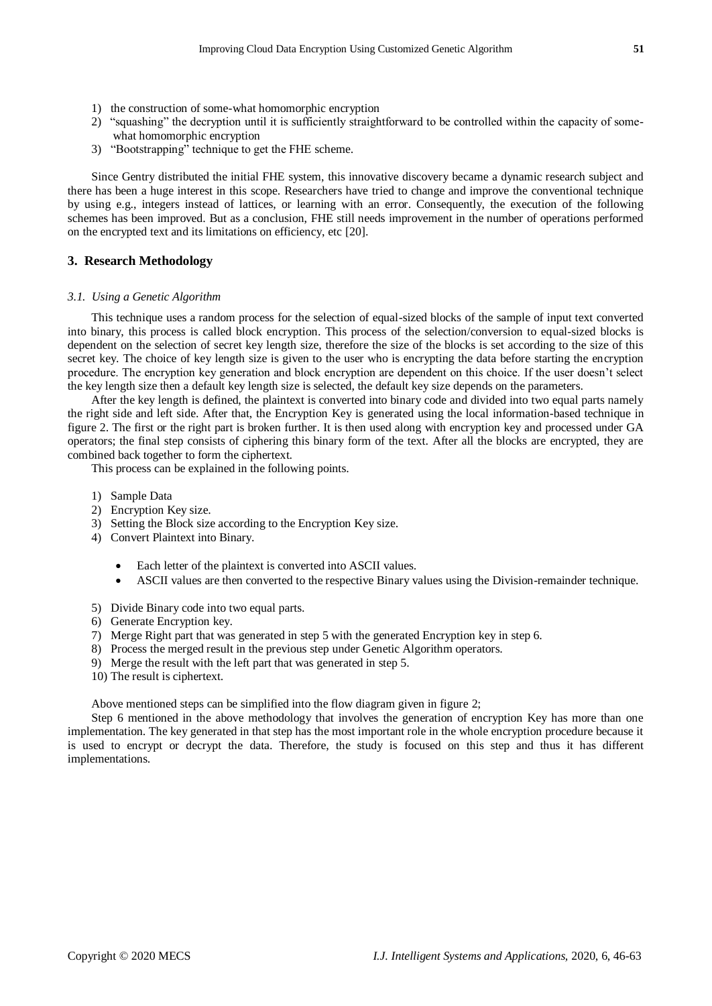- 1) the construction of some-what homomorphic encryption
- 2) "squashing" the decryption until it is sufficiently straightforward to be controlled within the capacity of somewhat homomorphic encryption
- 3) "Bootstrapping" technique to get the FHE scheme.

Since Gentry distributed the initial FHE system, this innovative discovery became a dynamic research subject and there has been a huge interest in this scope. Researchers have tried to change and improve the conventional technique by using e.g., integers instead of lattices, or learning with an error. Consequently, the execution of the following schemes has been improved. But as a conclusion, FHE still needs improvement in the number of operations performed on the encrypted text and its limitations on efficiency, etc [20].

## **3. Research Methodology**

### *3.1. Using a Genetic Algorithm*

This technique uses a random process for the selection of equal-sized blocks of the sample of input text converted into binary, this process is called block encryption. This process of the selection/conversion to equal-sized blocks is dependent on the selection of secret key length size, therefore the size of the blocks is set according to the size of this secret key. The choice of key length size is given to the user who is encrypting the data before starting the encryption procedure. The encryption key generation and block encryption are dependent on this choice. If the user doesn't select the key length size then a default key length size is selected, the default key size depends on the parameters.

After the key length is defined, the plaintext is converted into binary code and divided into two equal parts namely the right side and left side. After that, the Encryption Key is generated using the local information-based technique in figure 2. The first or the right part is broken further. It is then used along with encryption key and processed under GA operators; the final step consists of ciphering this binary form of the text. After all the blocks are encrypted, they are combined back together to form the ciphertext.

This process can be explained in the following points.

- 1) Sample Data
- 2) Encryption Key size.
- 3) Setting the Block size according to the Encryption Key size.
- 4) Convert Plaintext into Binary.
	- Each letter of the plaintext is converted into ASCII values.
	- ASCII values are then converted to the respective Binary values using the Division-remainder technique.
- 5) Divide Binary code into two equal parts.
- 6) Generate Encryption key.
- 7) Merge Right part that was generated in step 5 with the generated Encryption key in step 6.
- 8) Process the merged result in the previous step under Genetic Algorithm operators.
- 9) Merge the result with the left part that was generated in step 5.
- 10) The result is ciphertext.

Above mentioned steps can be simplified into the flow diagram given in figure 2;

Step 6 mentioned in the above methodology that involves the generation of encryption Key has more than one implementation. The key generated in that step has the most important role in the whole encryption procedure because it is used to encrypt or decrypt the data. Therefore, the study is focused on this step and thus it has different implementations.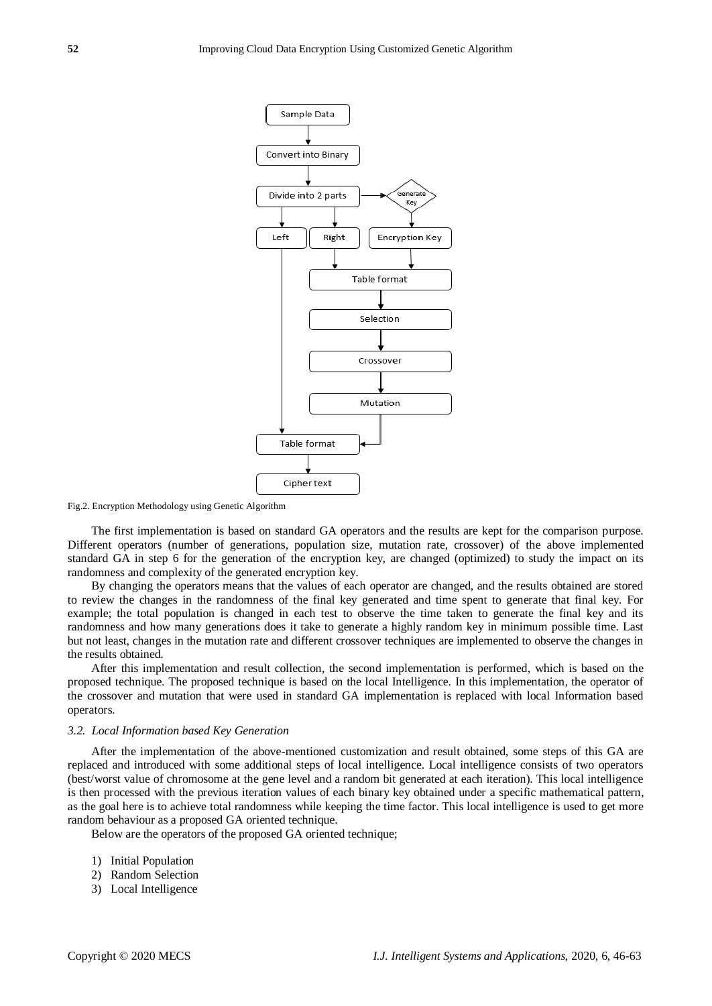

Fig.2. Encryption Methodology using Genetic Algorithm

The first implementation is based on standard GA operators and the results are kept for the comparison purpose. Different operators (number of generations, population size, mutation rate, crossover) of the above implemented standard GA in step 6 for the generation of the encryption key, are changed (optimized) to study the impact on its randomness and complexity of the generated encryption key.

By changing the operators means that the values of each operator are changed, and the results obtained are stored to review the changes in the randomness of the final key generated and time spent to generate that final key. For example; the total population is changed in each test to observe the time taken to generate the final key and its randomness and how many generations does it take to generate a highly random key in minimum possible time. Last but not least, changes in the mutation rate and different crossover techniques are implemented to observe the changes in the results obtained.

After this implementation and result collection, the second implementation is performed, which is based on the proposed technique. The proposed technique is based on the local Intelligence. In this implementation, the operator of the crossover and mutation that were used in standard GA implementation is replaced with local Information based operators.

#### *3.2. Local Information based Key Generation*

After the implementation of the above-mentioned customization and result obtained, some steps of this GA are replaced and introduced with some additional steps of local intelligence. Local intelligence consists of two operators (best/worst value of chromosome at the gene level and a random bit generated at each iteration). This local intelligence is then processed with the previous iteration values of each binary key obtained under a specific mathematical pattern, as the goal here is to achieve total randomness while keeping the time factor. This local intelligence is used to get more random behaviour as a proposed GA oriented technique.

Below are the operators of the proposed GA oriented technique;

- 1) Initial Population
- 2) Random Selection
- 3) Local Intelligence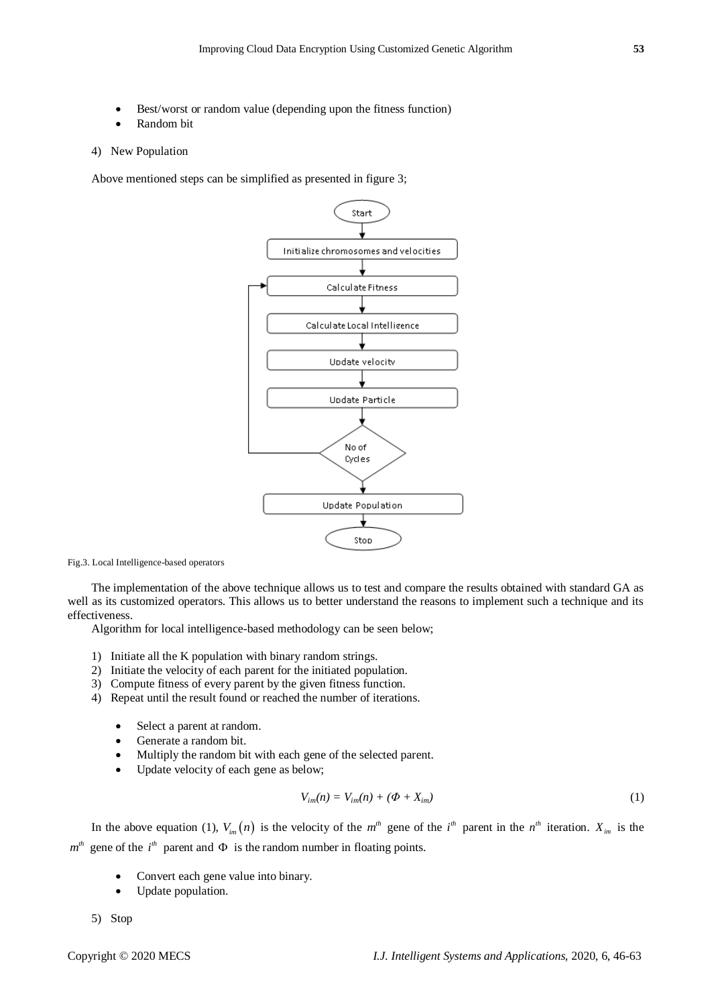- Best/worst or random value (depending upon the fitness function)
- Random bit

## 4) New Population

Above mentioned steps can be simplified as presented in figure 3;



Fig.3. Local Intelligence-based operators

The implementation of the above technique allows us to test and compare the results obtained with standard GA as well as its customized operators. This allows us to better understand the reasons to implement such a technique and its effectiveness.

Algorithm for local intelligence-based methodology can be seen below;

- 1) Initiate all the K population with binary random strings.
- 2) Initiate the velocity of each parent for the initiated population.
- 3) Compute fitness of every parent by the given fitness function.
- 4) Repeat until the result found or reached the number of iterations.
	- Select a parent at random.
	- Generate a random bit.
	- Multiply the random bit with each gene of the selected parent.
	- Update velocity of each gene as below;

$$
V_{im}(n) = V_{im}(n) + (\Phi + X_{im})
$$
\n<sup>(1)</sup>

In the above equation (1),  $V_{im}(n)$  is the velocity of the  $m^{th}$  gene of the  $i^{th}$  parent in the  $n^{th}$  iteration.  $X_{im}$  is the  $m<sup>th</sup>$  gene of the  $i<sup>th</sup>$  parent and  $\Phi$  is the random number in floating points.

- Convert each gene value into binary.
- Update population.

5) Stop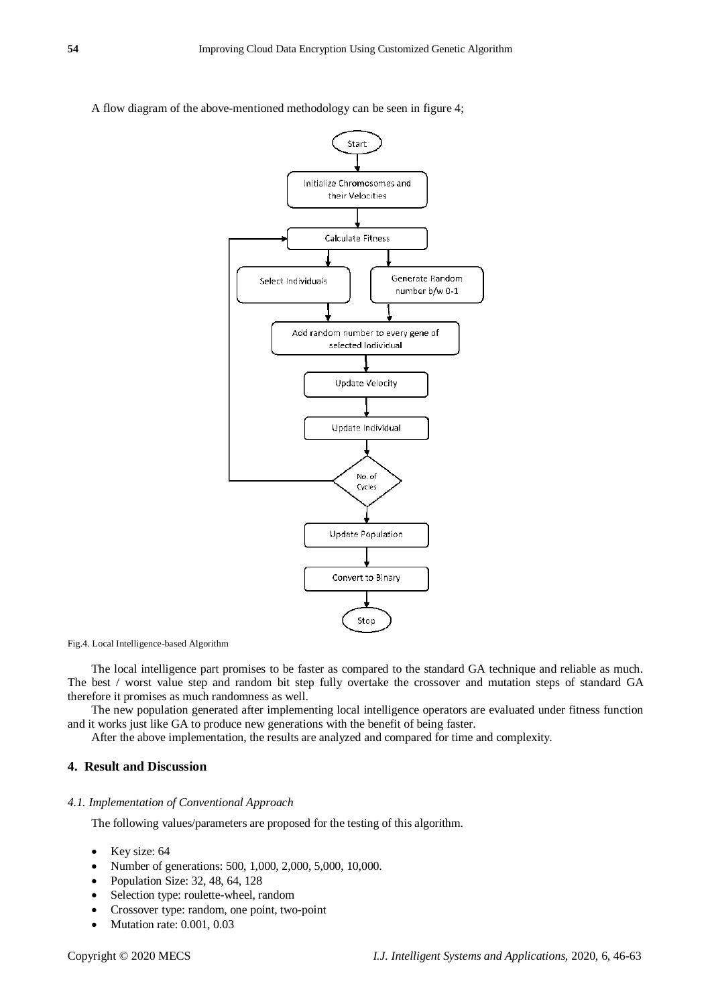A flow diagram of the above-mentioned methodology can be seen in figure 4;



Fig.4. Local Intelligence-based Algorithm

The local intelligence part promises to be faster as compared to the standard GA technique and reliable as much. The best / worst value step and random bit step fully overtake the crossover and mutation steps of standard GA therefore it promises as much randomness as well.

The new population generated after implementing local intelligence operators are evaluated under fitness function and it works just like GA to produce new generations with the benefit of being faster.

After the above implementation, the results are analyzed and compared for time and complexity.

# **4. Result and Discussion**

## *4.1. Implementation of Conventional Approach*

The following values/parameters are proposed for the testing of this algorithm.

- Key size: 64
- Number of generations: 500, 1,000, 2,000, 5,000, 10,000.
- Population Size: 32, 48, 64, 128
- Selection type: roulette-wheel, random
- Crossover type: random, one point, two-point
- Mutation rate: 0.001, 0.03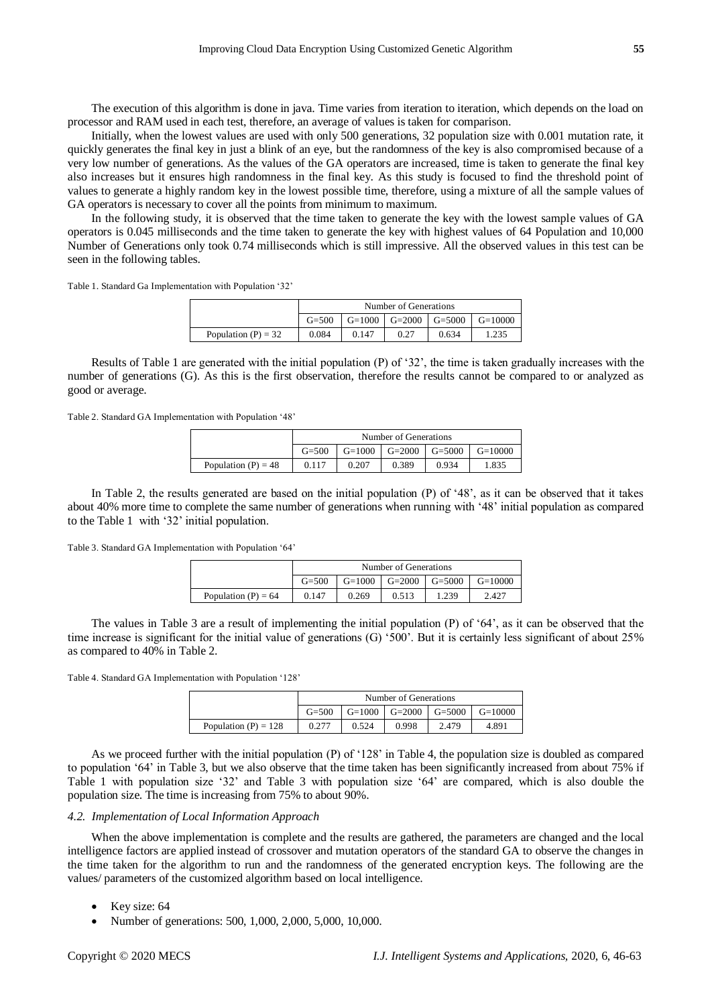The execution of this algorithm is done in java. Time varies from iteration to iteration, which depends on the load on processor and RAM used in each test, therefore, an average of values is taken for comparison.

Initially, when the lowest values are used with only 500 generations, 32 population size with 0.001 mutation rate, it quickly generates the final key in just a blink of an eye, but the randomness of the key is also compromised because of a very low number of generations. As the values of the GA operators are increased, time is taken to generate the final key also increases but it ensures high randomness in the final key. As this study is focused to find the threshold point of values to generate a highly random key in the lowest possible time, therefore, using a mixture of all the sample values of GA operators is necessary to cover all the points from minimum to maximum.

In the following study, it is observed that the time taken to generate the key with the lowest sample values of GA operators is 0.045 milliseconds and the time taken to generate the key with highest values of 64 Population and 10,000 Number of Generations only took 0.74 milliseconds which is still impressive. All the observed values in this test can be seen in the following tables.

Table 1. Standard Ga Implementation with Population '32'

|                       | Number of Generations<br>$G=1000$ $G=2000$ $G=5000$ $F=5000$<br>$G = 500$<br>$G=10000$ |  |  |  |  |  |
|-----------------------|----------------------------------------------------------------------------------------|--|--|--|--|--|
|                       |                                                                                        |  |  |  |  |  |
| Population $(P) = 32$ | 0.084<br>0.634<br>0.147<br>1.235<br>0.27                                               |  |  |  |  |  |

Results of Table 1 are generated with the initial population (P) of '32', the time is taken gradually increases with the number of generations (G). As this is the first observation, therefore the results cannot be compared to or analyzed as good or average.

Table 2. Standard GA Implementation with Population '48'

|                       |                                                      | Number of Generations |       |       |       |  |  |  |
|-----------------------|------------------------------------------------------|-----------------------|-------|-------|-------|--|--|--|
|                       | $G=1000$ $G=2000$ $G=5000$<br>$G = 500$<br>$G=10000$ |                       |       |       |       |  |  |  |
| Population $(P) = 48$ | 0.117                                                | 0.207                 | 0.389 | 0.934 | 1.835 |  |  |  |

In Table 2, the results generated are based on the initial population (P) of '48', as it can be observed that it takes about 40% more time to complete the same number of generations when running with '48' initial population as compared to the Table 1 with '32' initial population.

Table 3. Standard GA Implementation with Population '64'

|                       |                                                      | Number of Generations |       |       |       |  |  |  |
|-----------------------|------------------------------------------------------|-----------------------|-------|-------|-------|--|--|--|
|                       | $G=1000$ $G=2000$ $G=5000$<br>$G = 500$<br>$G=10000$ |                       |       |       |       |  |  |  |
| Population $(P) = 64$ | 0.147                                                | 0.269                 | 0.513 | 1.239 | 2.427 |  |  |  |

The values in Table 3 are a result of implementing the initial population (P) of '64', as it can be observed that the time increase is significant for the initial value of generations (G) '500'. But it is certainly less significant of about 25% as compared to 40% in Table 2.

Table 4. Standard GA Implementation with Population '128'

|                        | Number of Generations<br>$G=1000$ $G=2000$ $G=5000$ I<br>$G = 500$<br>$G=10000$ |  |  |  |  |  |
|------------------------|---------------------------------------------------------------------------------|--|--|--|--|--|
|                        |                                                                                 |  |  |  |  |  |
| Population (P) = $128$ | 0.998<br>0.524<br>2.479<br>4.891                                                |  |  |  |  |  |

As we proceed further with the initial population (P) of '128' in Table 4, the population size is doubled as compared to population '64' in Table 3, but we also observe that the time taken has been significantly increased from about 75% if Table 1 with population size '32' and Table 3 with population size '64' are compared, which is also double the population size. The time is increasing from 75% to about 90%.

## *4.2. Implementation of Local Information Approach*

When the above implementation is complete and the results are gathered, the parameters are changed and the local intelligence factors are applied instead of crossover and mutation operators of the standard GA to observe the changes in the time taken for the algorithm to run and the randomness of the generated encryption keys. The following are the values/ parameters of the customized algorithm based on local intelligence.

- Key size: 64
- Number of generations: 500, 1,000, 2,000, 5,000, 10,000.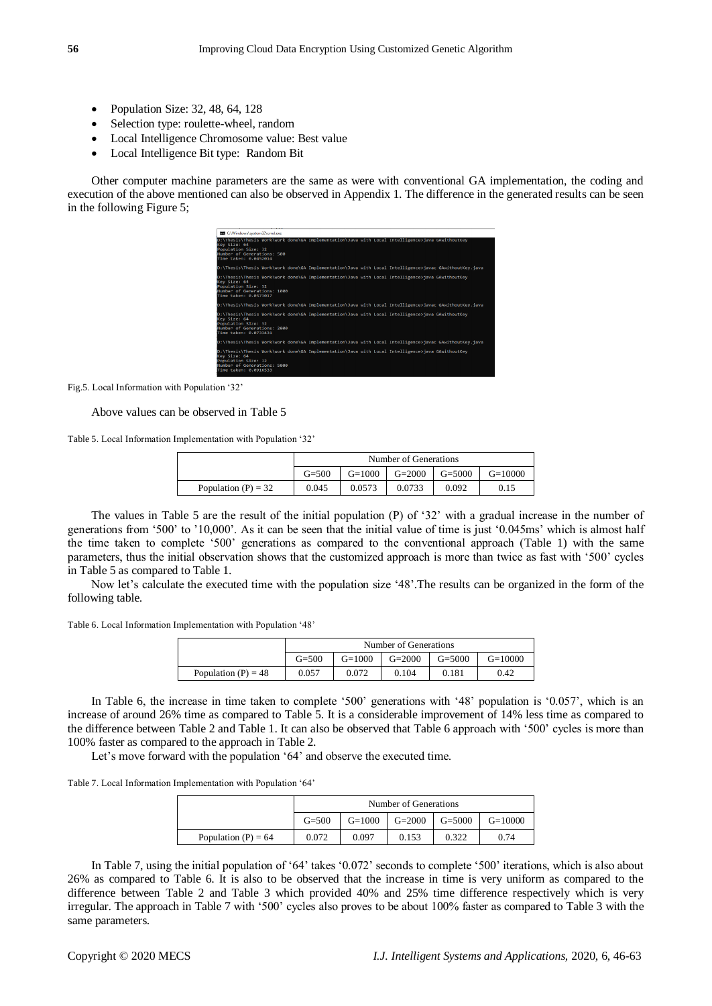- Population Size:  $32, 48, 64, 128$
- Selection type: roulette-wheel, random
- Local Intelligence Chromosome value: Best value
- Local Intelligence Bit type: Random Bit

Other computer machine parameters are the same as were with conventional GA implementation, the coding and execution of the above mentioned can also be observed in Appendix 1. The difference in the generated results can be seen in the following Figure 5;

| <b>ED C:\Windows\system32\cmd.exe</b>                                                       |  |  |                                                                                                        |
|---------------------------------------------------------------------------------------------|--|--|--------------------------------------------------------------------------------------------------------|
| Key Size: 64<br>Population Size: 32<br>Number of Generations: 500<br>Time taken: 0.0452014  |  |  | D:\Thesis\Thesis Work\work done\GA Implementation\Java with Local Intelligence>java GAwithoutKey       |
|                                                                                             |  |  | D:\Thesis\Thesis Work\work done\GA Implementation\Java with Local Intelligence>javac GAwithoutKey.java |
| Key Size: 64<br>Population Size: 32<br>Number of Generations: 1000<br>Time taken: 0.0573017 |  |  | D:\Thesis\Thesis Work\work done\GA Implementation\Java with Local Intelligence>iava GAwithoutKev       |
|                                                                                             |  |  | D:\Thesis\Thesis Work\work done\GA Implementation\Java with Local Intelligence>javac GAwithoutKey,java |
| Key Size: 64<br>Population Size: 32<br>Number of Generations: 2000<br>Time taken: 0.0733431 |  |  | D:\Thesis\Thesis Work\work done\GA Implementation\Java with Local Intelligence>java GAwithoutKey       |
|                                                                                             |  |  | D:\Thesis\Thesis Work\work done\GA Implementation\Java with Local Intelligence>javac GAwithoutKey.java |
| Key Size: 64<br>Population Size: 32<br>Number of Generations: 5000<br>Time taken: 0.0916533 |  |  | D:\Thesis\Thesis Work\work done\GA Implementation\Java with Local Intelligence>java GAwithoutKey       |

Fig.5. Local Information with Population '32'

### Above values can be observed in Table 5

Table 5. Local Information Implementation with Population '32'

|                       |                                                              | Number of Generations |  |  |  |  |  |
|-----------------------|--------------------------------------------------------------|-----------------------|--|--|--|--|--|
|                       | $G=2000$<br>$G=1000$<br>$G = 5000$<br>$G = 500$<br>$G=10000$ |                       |  |  |  |  |  |
| Population $(P) = 32$ | 0.0573<br>0.045<br>0.0733<br>0.092<br>0.15                   |                       |  |  |  |  |  |

The values in Table 5 are the result of the initial population (P) of '32' with a gradual increase in the number of generations from '500' to '10,000'. As it can be seen that the initial value of time is just '0.045ms' which is almost half the time taken to complete '500' generations as compared to the conventional approach (Table 1) with the same parameters, thus the initial observation shows that the customized approach is more than twice as fast with '500' cycles in Table 5 as compared to Table 1.

Now let's calculate the executed time with the population size '48'.The results can be organized in the form of the following table.

Table 6. Local Information Implementation with Population '48'

|                       |                                                                | Number of Generations |  |  |  |  |  |  |  |
|-----------------------|----------------------------------------------------------------|-----------------------|--|--|--|--|--|--|--|
|                       | $G=1000$ $G=2000$<br>$\Gamma$ G=5000<br>$G = 500$<br>$G=10000$ |                       |  |  |  |  |  |  |  |
| Population $(P) = 48$ | 0.072<br>0.104<br>0.181<br>0.42<br>0.057                       |                       |  |  |  |  |  |  |  |

In Table 6, the increase in time taken to complete '500' generations with '48' population is '0.057', which is an increase of around 26% time as compared to Table 5. It is a considerable improvement of 14% less time as compared to the difference between Table 2 and Table 1. It can also be observed that Table 6 approach with '500' cycles is more than 100% faster as compared to the approach in Table 2.

Let's move forward with the population '64' and observe the executed time.

Table 7. Local Information Implementation with Population '64'

|                       | Number of Generations                                        |  |  |  |  |  |  |
|-----------------------|--------------------------------------------------------------|--|--|--|--|--|--|
|                       | $G=2000$<br>$G=1000$<br>$G = 5000$<br>$G = 500$<br>$G=10000$ |  |  |  |  |  |  |
| Population $(P) = 64$ | 0.097<br>0.322<br>0.072<br>0.153<br>0.74                     |  |  |  |  |  |  |

In Table 7, using the initial population of '64' takes '0.072' seconds to complete '500' iterations, which is also about 26% as compared to Table 6. It is also to be observed that the increase in time is very uniform as compared to the difference between Table 2 and Table 3 which provided 40% and 25% time difference respectively which is very irregular. The approach in Table 7 with '500' cycles also proves to be about 100% faster as compared to Table 3 with the same parameters.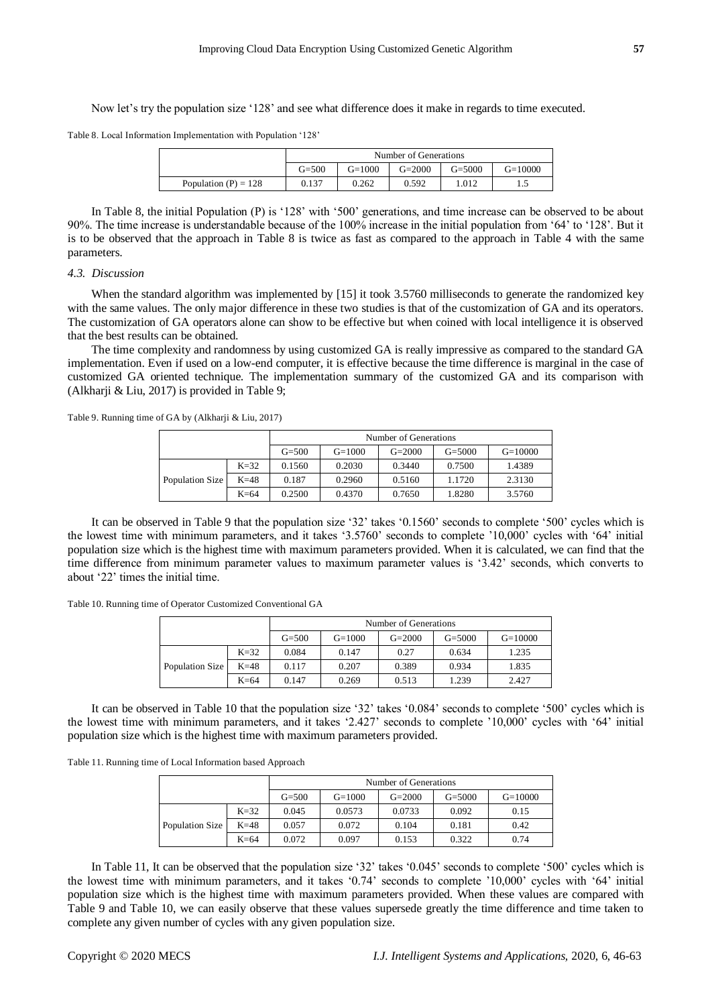Now let's try the population size '128' and see what difference does it make in regards to time executed.

Table 8. Local Information Implementation with Population '128'

|                        |                                                                |       | Number of Generations |       |  |  |  |  |
|------------------------|----------------------------------------------------------------|-------|-----------------------|-------|--|--|--|--|
|                        | $G = 2000$<br>$G=1000$<br>$G=10000$<br>$G = 500$<br>$G = 5000$ |       |                       |       |  |  |  |  |
| Population $(P) = 128$ | 0.137                                                          | 0.262 | 0.592                 | 1.012 |  |  |  |  |

In Table 8, the initial Population (P) is '128' with '500' generations, and time increase can be observed to be about 90%. The time increase is understandable because of the 100% increase in the initial population from '64' to '128'. But it is to be observed that the approach in Table 8 is twice as fast as compared to the approach in Table 4 with the same parameters.

## *4.3. Discussion*

When the standard algorithm was implemented by [15] it took 3.5760 milliseconds to generate the randomized key with the same values. The only major difference in these two studies is that of the customization of GA and its operators. The customization of GA operators alone can show to be effective but when coined with local intelligence it is observed that the best results can be obtained.

The time complexity and randomness by using customized GA is really impressive as compared to the standard GA implementation. Even if used on a low-end computer, it is effective because the time difference is marginal in the case of customized GA oriented technique. The implementation summary of the customized GA and its comparison with (Alkharji & Liu, 2017) is provided in Table 9;

Table 9. Running time of GA by (Alkharji & Liu, 2017)

|                 |        |           |          | Number of Generations |            |           |
|-----------------|--------|-----------|----------|-----------------------|------------|-----------|
|                 |        | $G = 500$ | $G=1000$ | $G=2000$              | $G = 5000$ | $G=10000$ |
|                 | $K=32$ | 0.1560    | 0.2030   | 0.3440                | 0.7500     | 1.4389    |
| Population Size | $K=48$ | 0.187     | 0.2960   | 0.5160                | 1.1720     | 2.3130    |
|                 | $K=64$ | 0.2500    | 0.4370   | 0.7650                | 1.8280     | 3.5760    |

It can be observed in Table 9 that the population size '32' takes '0.1560' seconds to complete '500' cycles which is the lowest time with minimum parameters, and it takes '3.5760' seconds to complete '10,000' cycles with '64' initial population size which is the highest time with maximum parameters provided. When it is calculated, we can find that the time difference from minimum parameter values to maximum parameter values is '3.42' seconds, which converts to about '22' times the initial time.

Table 10. Running time of Operator Customized Conventional GA

|                 |        |                                                                | Number of Generations |       |       |       |  |  |
|-----------------|--------|----------------------------------------------------------------|-----------------------|-------|-------|-------|--|--|
|                 |        | $G = 500$<br>$G=10000$<br>$G=1000$<br>$G = 2000$<br>$G = 5000$ |                       |       |       |       |  |  |
| Population Size | $K=32$ | 0.084                                                          | 0.147                 | 0.27  | 0.634 | 1.235 |  |  |
|                 | $K=48$ | 0.117                                                          | 0.207                 | 0.389 | 0.934 | 1.835 |  |  |
|                 | $K=64$ | 0.147                                                          | 0.269                 | 0.513 | 1.239 | 2.427 |  |  |

It can be observed in Table 10 that the population size '32' takes '0.084' seconds to complete '500' cycles which is the lowest time with minimum parameters, and it takes '2.427' seconds to complete '10,000' cycles with '64' initial population size which is the highest time with maximum parameters provided.

Table 11. Running time of Local Information based Approach

|                 |        |           |          | Number of Generations |            |           |
|-----------------|--------|-----------|----------|-----------------------|------------|-----------|
|                 |        | $G = 500$ | $G=1000$ | $G=2000$              | $G = 5000$ | $G=10000$ |
|                 | $K=32$ | 0.045     | 0.0573   | 0.0733                | 0.092      | 0.15      |
| Population Size | $K=48$ | 0.057     | 0.072    | 0.104                 | 0.181      | 0.42      |
|                 | $K=64$ | 0.072     | 0.097    | 0.153                 | 0.322      | 0.74      |

In Table 11, It can be observed that the population size '32' takes '0.045' seconds to complete '500' cycles which is the lowest time with minimum parameters, and it takes '0.74' seconds to complete '10,000' cycles with '64' initial population size which is the highest time with maximum parameters provided. When these values are compared with Table 9 and Table 10, we can easily observe that these values supersede greatly the time difference and time taken to complete any given number of cycles with any given population size.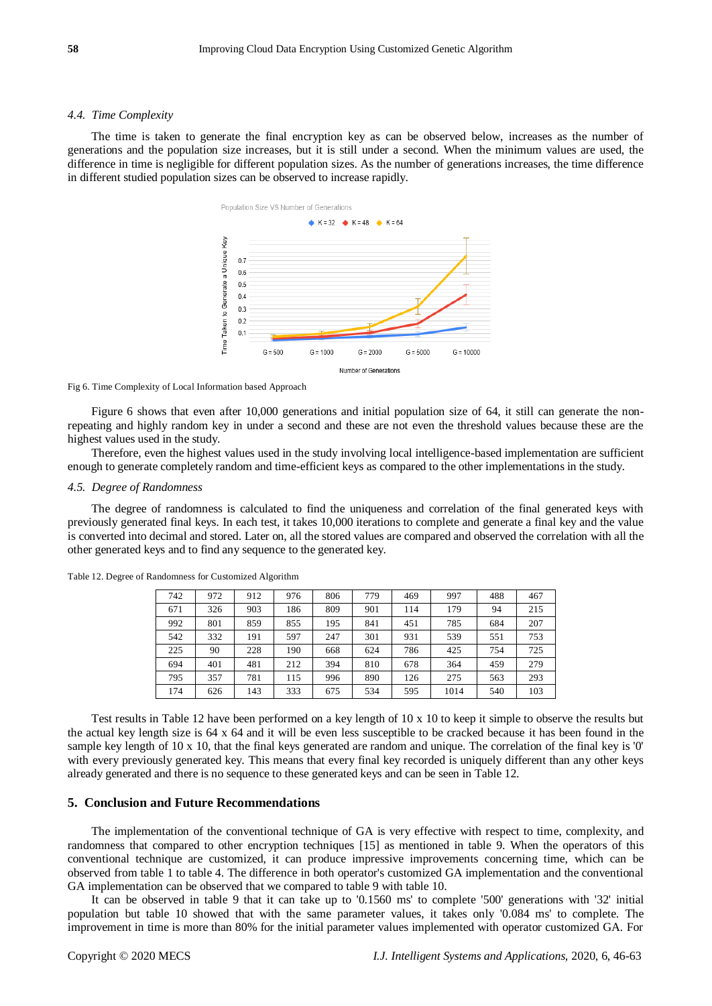#### *4.4. Time Complexity*

The time is taken to generate the final encryption key as can be observed below, increases as the number of generations and the population size increases, but it is still under a second. When the minimum values are used, the difference in time is negligible for different population sizes. As the number of generations increases, the time difference in different studied population sizes can be observed to increase rapidly.



Fig 6. Time Complexity of Local Information based Approach

Figure 6 shows that even after 10,000 generations and initial population size of 64, it still can generate the nonrepeating and highly random key in under a second and these are not even the threshold values because these are the highest values used in the study.

Therefore, even the highest values used in the study involving local intelligence-based implementation are sufficient enough to generate completely random and time-efficient keys as compared to the other implementations in the study.

#### *4.5. Degree of Randomness*

The degree of randomness is calculated to find the uniqueness and correlation of the final generated keys with previously generated final keys. In each test, it takes 10,000 iterations to complete and generate a final key and the value is converted into decimal and stored. Later on, all the stored values are compared and observed the correlation with all the other generated keys and to find any sequence to the generated key.

| 742 | 972 | 912 | 976 | 806 | 779 | 469 | 997  | 488 | 467 |
|-----|-----|-----|-----|-----|-----|-----|------|-----|-----|
| 671 | 326 | 903 | 186 | 809 | 901 | 114 | 179  | 94  | 215 |
| 992 | 801 | 859 | 855 | 195 | 841 | 451 | 785  | 684 | 207 |
| 542 | 332 | 191 | 597 | 247 | 301 | 931 | 539  | 551 | 753 |
| 225 | 90  | 228 | 190 | 668 | 624 | 786 | 425  | 754 | 725 |
| 694 | 401 | 481 | 212 | 394 | 810 | 678 | 364  | 459 | 279 |
| 795 | 357 | 781 | 115 | 996 | 890 | 126 | 275  | 563 | 293 |
| 174 | 626 | 143 | 333 | 675 | 534 | 595 | 1014 | 540 | 103 |

Table 12. Degree of Randomness for Customized Algorithm

Test results in Table 12 have been performed on a key length of 10 x 10 to keep it simple to observe the results but the actual key length size is 64 x 64 and it will be even less susceptible to be cracked because it has been found in the sample key length of 10 x 10, that the final keys generated are random and unique. The correlation of the final key is '0' with every previously generated key. This means that every final key recorded is uniquely different than any other keys already generated and there is no sequence to these generated keys and can be seen in Table 12.

## **5. Conclusion and Future Recommendations**

The implementation of the conventional technique of GA is very effective with respect to time, complexity, and randomness that compared to other encryption techniques [15] as mentioned in table 9. When the operators of this conventional technique are customized, it can produce impressive improvements concerning time, which can be observed from table 1 to table 4. The difference in both operator's customized GA implementation and the conventional GA implementation can be observed that we compared to table 9 with table 10.

It can be observed in table 9 that it can take up to '0.1560 ms' to complete '500' generations with '32' initial population but table 10 showed that with the same parameter values, it takes only '0.084 ms' to complete. The improvement in time is more than 80% for the initial parameter values implemented with operator customized GA. For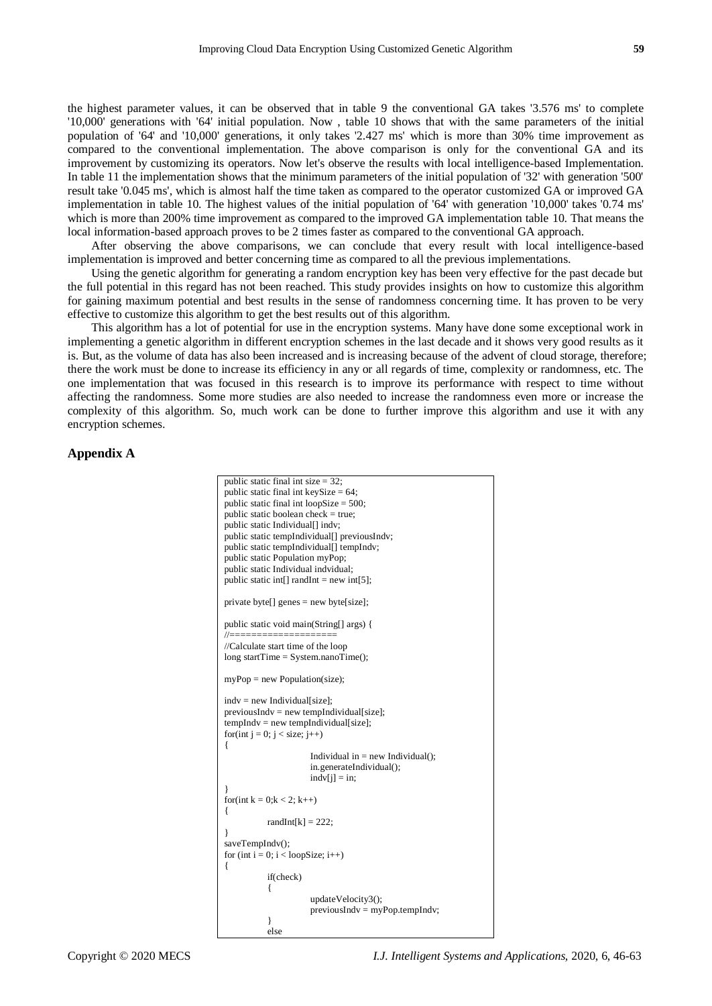the highest parameter values, it can be observed that in table 9 the conventional GA takes '3.576 ms' to complete '10,000' generations with '64' initial population. Now , table 10 shows that with the same parameters of the initial population of '64' and '10,000' generations, it only takes '2.427 ms' which is more than 30% time improvement as compared to the conventional implementation. The above comparison is only for the conventional GA and its improvement by customizing its operators. Now let's observe the results with local intelligence-based Implementation. In table 11 the implementation shows that the minimum parameters of the initial population of '32' with generation '500' result take '0.045 ms', which is almost half the time taken as compared to the operator customized GA or improved GA implementation in table 10. The highest values of the initial population of '64' with generation '10,000' takes '0.74 ms' which is more than 200% time improvement as compared to the improved GA implementation table 10. That means the local information-based approach proves to be 2 times faster as compared to the conventional GA approach.

After observing the above comparisons, we can conclude that every result with local intelligence-based implementation is improved and better concerning time as compared to all the previous implementations.

Using the genetic algorithm for generating a random encryption key has been very effective for the past decade but the full potential in this regard has not been reached. This study provides insights on how to customize this algorithm for gaining maximum potential and best results in the sense of randomness concerning time. It has proven to be very effective to customize this algorithm to get the best results out of this algorithm.

This algorithm has a lot of potential for use in the encryption systems. Many have done some exceptional work in implementing a genetic algorithm in different encryption schemes in the last decade and it shows very good results as it is. But, as the volume of data has also been increased and is increasing because of the advent of cloud storage, therefore; there the work must be done to increase its efficiency in any or all regards of time, complexity or randomness, etc. The one implementation that was focused in this research is to improve its performance with respect to time without affecting the randomness. Some more studies are also needed to increase the randomness even more or increase the complexity of this algorithm. So, much work can be done to further improve this algorithm and use it with any encryption schemes.

# **Appendix A**

| public static final int size $= 32$ ;                         |  |  |  |  |  |  |  |
|---------------------------------------------------------------|--|--|--|--|--|--|--|
| public static final int keySize = $64$ ;                      |  |  |  |  |  |  |  |
| public static final int loopSize = $500$ ;                    |  |  |  |  |  |  |  |
| public static boolean check $=$ true;                         |  |  |  |  |  |  |  |
| public static Individual[] indv;                              |  |  |  |  |  |  |  |
| public static tempIndividual[] previousIndv;                  |  |  |  |  |  |  |  |
| public static tempIndividual[] tempIndv;                      |  |  |  |  |  |  |  |
| public static Population myPop;                               |  |  |  |  |  |  |  |
| public static Individual indvidual;                           |  |  |  |  |  |  |  |
| public static int[] randInt = new int[5];                     |  |  |  |  |  |  |  |
| private byte[] genes = new byte[size];                        |  |  |  |  |  |  |  |
| public static void main(String[] args) {<br>//=============== |  |  |  |  |  |  |  |
| //Calculate start time of the loop                            |  |  |  |  |  |  |  |
| long startTime = $System.name$ ;                              |  |  |  |  |  |  |  |
|                                                               |  |  |  |  |  |  |  |
| $myPop = new Population(size);$                               |  |  |  |  |  |  |  |
| $indv = new Individual[size];$                                |  |  |  |  |  |  |  |
| $previously = new templndividual[size];$                      |  |  |  |  |  |  |  |
| $tempIndv = new templndividual[size];$                        |  |  |  |  |  |  |  |
| for(int $j = 0$ ; $j <$ size; $j++)$                          |  |  |  |  |  |  |  |
| ł                                                             |  |  |  |  |  |  |  |
| Individual in $=$ new Individual();                           |  |  |  |  |  |  |  |
| in.generateIndividual();                                      |  |  |  |  |  |  |  |
| $indv[j] = in;$                                               |  |  |  |  |  |  |  |
|                                                               |  |  |  |  |  |  |  |
| for(int $k = 0; k < 2; k++)$                                  |  |  |  |  |  |  |  |
| ₹                                                             |  |  |  |  |  |  |  |
| randInt $[k] = 222$ ;                                         |  |  |  |  |  |  |  |
| ł                                                             |  |  |  |  |  |  |  |
| saveTempIndv();                                               |  |  |  |  |  |  |  |
| for (int $i = 0$ ; $i <$ loopSize; $i++$ )                    |  |  |  |  |  |  |  |
| ₹                                                             |  |  |  |  |  |  |  |
| if(check)                                                     |  |  |  |  |  |  |  |
|                                                               |  |  |  |  |  |  |  |
| updateVelocity3();                                            |  |  |  |  |  |  |  |
| $previousIndv = myPop.$ tempIndv;                             |  |  |  |  |  |  |  |
| ł                                                             |  |  |  |  |  |  |  |

else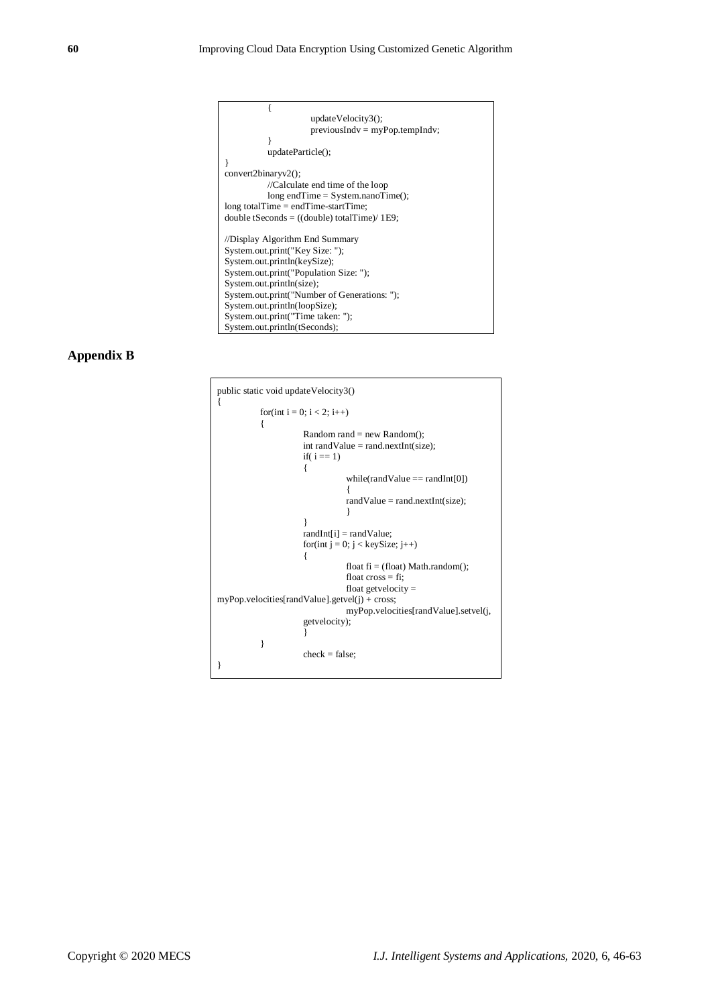

## **Appendix B**

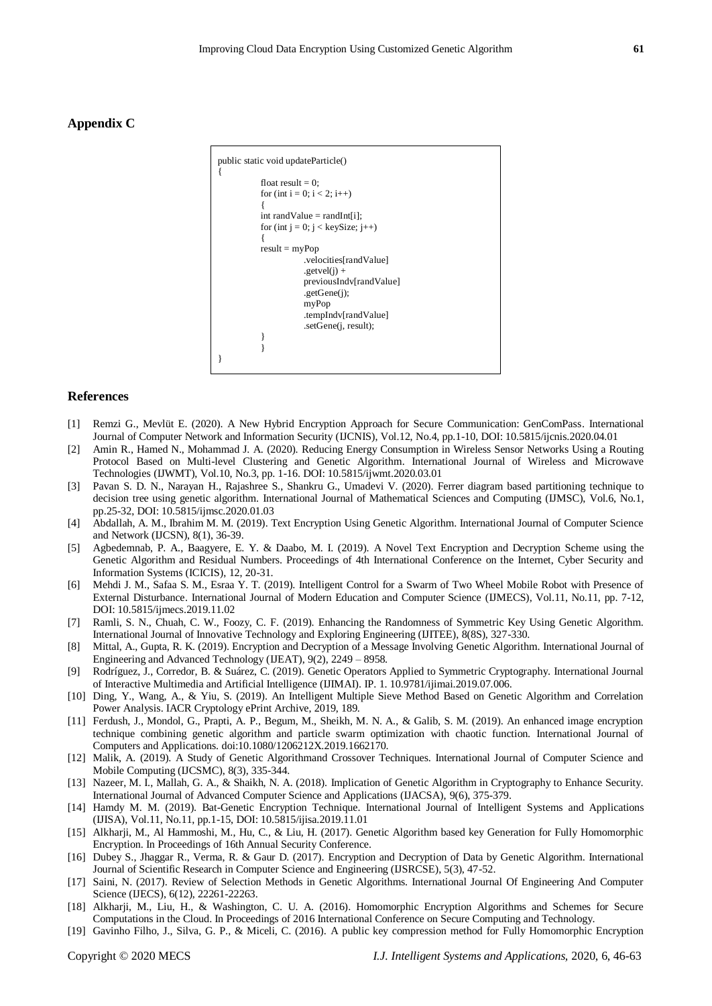# **Appendix C**



## **References**

- [1] Remzi G., Mevlüt E. (2020). A New Hybrid Encryption Approach for Secure Communication: GenComPass. International Journal of Computer Network and Information Security (IJCNIS), Vol.12, No.4, pp.1-10, DOI: 10.5815/ijcnis.2020.04.01
- [2] Amin R., Hamed N., Mohammad J. A. (2020). Reducing Energy Consumption in Wireless Sensor Networks Using a Routing Protocol Based on Multi-level Clustering and Genetic Algorithm. International Journal of Wireless and Microwave Technologies (IJWMT), Vol.10, No.3, pp. 1-16. DOI: 10.5815/ijwmt.2020.03.01
- [3] Pavan S. D. N., Narayan H., Rajashree S., Shankru G., Umadevi V. (2020). Ferrer diagram based partitioning technique to decision tree using genetic algorithm. International Journal of Mathematical Sciences and Computing (IJMSC), Vol.6, No.1, pp.25-32, DOI: 10.5815/ijmsc.2020.01.03
- [4] Abdallah, A. M., Ibrahim M. M. (2019). Text Encryption Using Genetic Algorithm. International Journal of Computer Science and Network (IJCSN), 8(1), 36-39.
- [5] Agbedemnab, P. A., Baagyere, E. Y. & Daabo, M. I. (2019). A Novel Text Encryption and Decryption Scheme using the Genetic Algorithm and Residual Numbers. Proceedings of 4th International Conference on the Internet, Cyber Security and Information Systems (ICICIS), 12, 20-31.
- [6] Mehdi J. M., Safaa S. M., Esraa Y. T. (2019). Intelligent Control for a Swarm of Two Wheel Mobile Robot with Presence of External Disturbance. International Journal of Modern Education and Computer Science (IJMECS), Vol.11, No.11, pp. 7-12, DOI: 10.5815/ijmecs.2019.11.02
- [7] Ramli, S. N., Chuah, C. W., Foozy, C. F. (2019). Enhancing the Randomness of Symmetric Key Using Genetic Algorithm. International Journal of Innovative Technology and Exploring Engineering (IJITEE), 8(8S), 327-330.
- [8] Mittal, A., Gupta, R. K. (2019). Encryption and Decryption of a Message Involving Genetic Algorithm. International Journal of Engineering and Advanced Technology (IJEAT), 9(2), 2249 – 8958.
- [9] Rodríguez, J., Corredor, B. & Suárez, C. (2019). Genetic Operators Applied to Symmetric Cryptography. International Journal of Interactive Multimedia and Artificial Intelligence (IJIMAI). IP. 1. 10.9781/ijimai.2019.07.006.
- [10] Ding, Y., Wang, A., & Yiu, S. (2019). An Intelligent Multiple Sieve Method Based on Genetic Algorithm and Correlation Power Analysis. IACR Cryptology ePrint Archive, 2019, 189.
- [11] Ferdush, J., Mondol, G., Prapti, A. P., Begum, M., Sheikh, M. N. A., & Galib, S. M. (2019). An enhanced image encryption technique combining genetic algorithm and particle swarm optimization with chaotic function. International Journal of Computers and Applications. doi:10.1080/1206212X.2019.1662170.
- [12] Malik, A. (2019). A Study of Genetic Algorithmand Crossover Techniques. International Journal of Computer Science and Mobile Computing (IJCSMC), 8(3), 335-344.
- [13] Nazeer, M. I., Mallah, G. A., & Shaikh, N. A. (2018). Implication of Genetic Algorithm in Cryptography to Enhance Security. International Journal of Advanced Computer Science and Applications (IJACSA), 9(6), 375-379.
- [14] Hamdy M. M. (2019). Bat-Genetic Encryption Technique. International Journal of Intelligent Systems and Applications (IJISA), Vol.11, No.11, pp.1-15, DOI: 10.5815/ijisa.2019.11.01
- [15] Alkharji, M., Al Hammoshi, M., Hu, C., & Liu, H. (2017). Genetic Algorithm based key Generation for Fully Homomorphic Encryption. In Proceedings of 16th Annual Security Conference.
- [16] Dubey S., Jhaggar R., Verma, R. & Gaur D. (2017). Encryption and Decryption of Data by Genetic Algorithm. International Journal of Scientific Research in Computer Science and Engineering (IJSRCSE), 5(3), 47-52.
- [17] Saini, N. (2017). Review of Selection Methods in Genetic Algorithms. International Journal Of Engineering And Computer Science (IJECS), 6(12), 22261-22263.
- [18] Alkharji, M., Liu, H., & Washington, C. U. A. (2016). Homomorphic Encryption Algorithms and Schemes for Secure Computations in the Cloud. In Proceedings of 2016 International Conference on Secure Computing and Technology.
- [19] Gavinho Filho, J., Silva, G. P., & Miceli, C. (2016). A public key compression method for Fully Homomorphic Encryption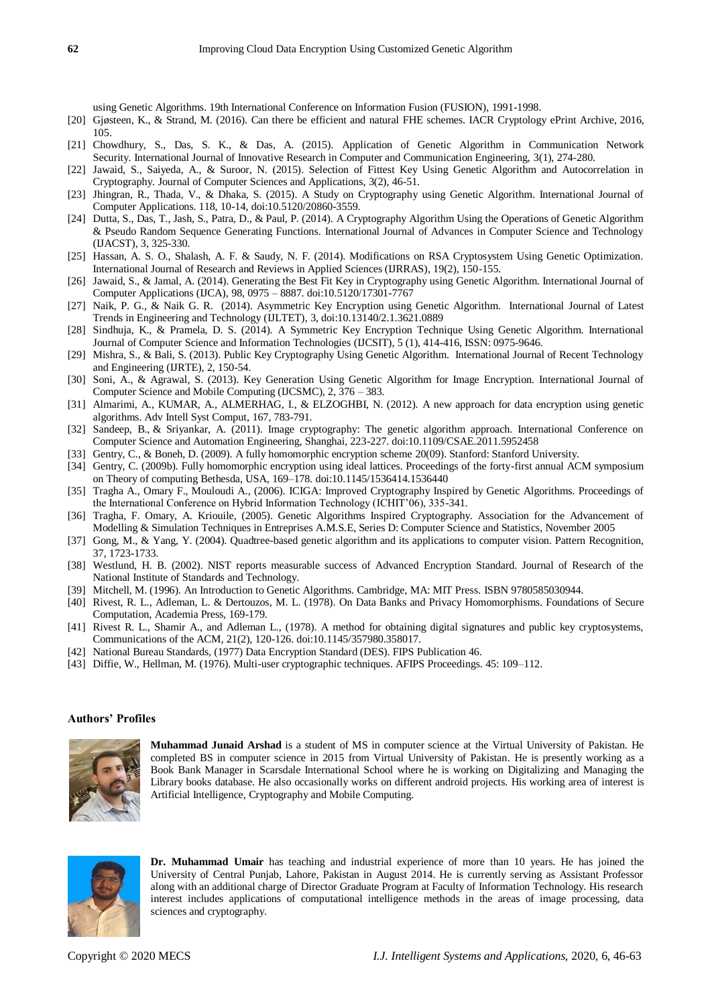using Genetic Algorithms. 19th International Conference on Information Fusion (FUSION), 1991-1998.

- [20] Gjøsteen, K., & Strand, M. (2016). Can there be efficient and natural FHE schemes. IACR Cryptology ePrint Archive, 2016, 105.
- [21] Chowdhury, S., Das, S. K., & Das, A. (2015). Application of Genetic Algorithm in Communication Network Security. International Journal of Innovative Research in Computer and Communication Engineering, 3(1), 274-280.
- [22] Jawaid, S., Saiyeda, A., & Suroor, N. (2015). Selection of Fittest Key Using Genetic Algorithm and Autocorrelation in Cryptography. Journal of Computer Sciences and Applications, 3(2), 46-51.
- [23] Jhingran, R., Thada, V., & Dhaka, S. (2015). A Study on Cryptography using Genetic Algorithm. International Journal of Computer Applications. 118, 10-14, doi:10.5120/20860-3559.
- [24] Dutta, S., Das, T., Jash, S., Patra, D., & Paul, P. (2014). A Cryptography Algorithm Using the Operations of Genetic Algorithm & Pseudo Random Sequence Generating Functions. International Journal of Advances in Computer Science and Technology (IJACST), 3, 325-330.
- [25] Hassan, A. S. O., Shalash, A. F. & Saudy, N. F. (2014). Modifications on RSA Cryptosystem Using Genetic Optimization. International Journal of Research and Reviews in Applied Sciences (IJRRAS), 19(2), 150-155.
- [26] Jawaid, S., & Jamal, A. (2014). Generating the Best Fit Key in Cryptography using Genetic Algorithm. International Journal of Computer Applications (IJCA), 98, 0975 – 8887. doi:10.5120/17301-7767
- [27] Naik, P. G., & Naik G. R. (2014). Asymmetric Key Encryption using Genetic Algorithm. International Journal of Latest Trends in Engineering and Technology (IJLTET), 3, doi:10.13140/2.1.3621.0889
- [28] Sindhuja, K., & Pramela, D. S. (2014). A Symmetric Key Encryption Technique Using Genetic Algorithm. International Journal of Computer Science and Information Technologies (IJCSIT), 5 (1), 414-416, ISSN: 0975-9646.
- [29] Mishra, S., & Bali, S. (2013). Public Key Cryptography Using Genetic Algorithm. International Journal of Recent Technology and Engineering (IJRTE), 2, 150-54.
- [30] Soni, A., & Agrawal, S. (2013). Key Generation Using Genetic Algorithm for Image Encryption. International Journal of Computer Science and Mobile Computing (IJCSMC), 2, 376 – 383.
- [31] Almarimi, A., KUMAR, A., ALMERHAG, I., & ELZOGHBI, N. (2012). A new approach for data encryption using genetic algorithms. Adv Intell Syst Comput, 167, 783-791.
- [32] Sandeep, B., & Sriyankar, A. (2011). Image cryptography: The genetic algorithm approach. International Conference on Computer Science and Automation Engineering, Shanghai, 223-227. doi:10.1109/CSAE.2011.5952458
- [33] Gentry, C., & Boneh, D. (2009). A fully homomorphic encryption scheme 20(09). Stanford: Stanford University.
- [34] Gentry, C. (2009b). Fully homomorphic encryption using ideal lattices. Proceedings of the forty-first annual ACM symposium on Theory of computing Bethesda, USA, 169–178. doi:10.1145/1536414.1536440
- [35] Tragha A., Omary F., Mouloudi A., (2006). ICIGA: Improved Cryptography Inspired by Genetic Algorithms. Proceedings of the International Conference on Hybrid Information Technology (ICHIT'06), 335-341.
- [36] Tragha, F. Omary, A. Kriouile, (2005). Genetic Algorithms Inspired Cryptography. Association for the Advancement of Modelling & Simulation Techniques in Entreprises A.M.S.E, Series D: Computer Science and Statistics, November 2005
- [37] Gong, M., & Yang, Y. (2004). Quadtree-based genetic algorithm and its applications to computer vision. Pattern Recognition, 37, 1723-1733.
- [38] Westlund, H. B. (2002). NIST reports measurable success of Advanced Encryption Standard. Journal of Research of the National Institute of Standards and Technology.
- [39] Mitchell, M. (1996). An Introduction to Genetic Algorithms. Cambridge, MA: MIT Press. ISBN 9780585030944.
- [40] Rivest, R. L., Adleman, L. & Dertouzos, M. L. (1978). On Data Banks and Privacy Homomorphisms. Foundations of Secure Computation, Academia Press, 169-179.
- [41] Rivest R. L., Shamir A., and Adleman L., (1978). A method for obtaining digital signatures and public key cryptosystems, Communications of the ACM, 21(2), 120-126. doi:10.1145/357980.358017.
- [42] National Bureau Standards, (1977) Data Encryption Standard (DES). FIPS Publication 46.
- [43] Diffie, W., Hellman, M. (1976). Multi-user cryptographic techniques. AFIPS Proceedings. 45: 109–112.

## **Authors' Profiles**



**Muhammad Junaid Arshad** is a student of MS in computer science at the Virtual University of Pakistan. He completed BS in computer science in 2015 from Virtual University of Pakistan. He is presently working as a Book Bank Manager in Scarsdale International School where he is working on Digitalizing and Managing the Library books database. He also occasionally works on different android projects. His working area of interest is Artificial Intelligence, Cryptography and Mobile Computing.



**Dr. Muhammad Umair** has teaching and industrial experience of more than 10 years. He has joined the University of Central Punjab, Lahore, Pakistan in August 2014. He is currently serving as Assistant Professor along with an additional charge of Director Graduate Program at Faculty of Information Technology. His research interest includes applications of computational intelligence methods in the areas of image processing, data sciences and cryptography.